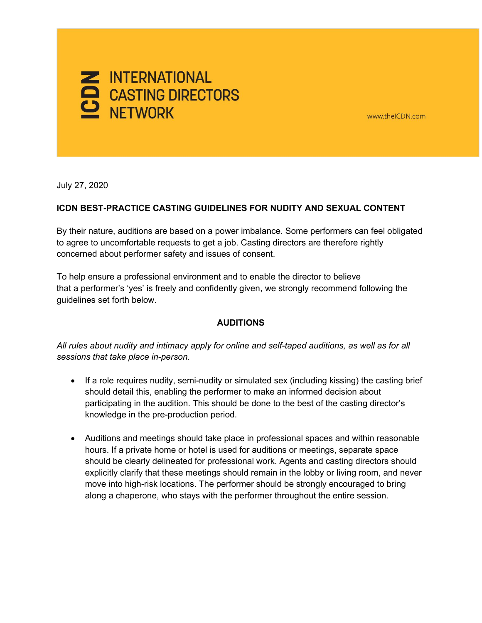

www.theICDN.com

July 27, 2020

### **ICDN BEST-PRACTICE CASTING GUIDELINES FOR NUDITY AND SEXUAL CONTENT**

By their nature, auditions are based on a power imbalance. Some performers can feel obligated to agree to uncomfortable requests to get a job. Casting directors are therefore rightly concerned about performer safety and issues of consent.

To help ensure a professional environment and to enable the director to believe that a performer's 'yes' is freely and confidently given, we strongly recommend following the guidelines set forth below.

### **AUDITIONS**

*All rules about nudity and intimacy apply for online and self-taped auditions, as well as for all sessions that take place in-person.*

- If a role requires nudity, semi-nudity or simulated sex (including kissing) the casting brief should detail this, enabling the performer to make an informed decision about participating in the audition. This should be done to the best of the casting director's knowledge in the pre-production period.
- Auditions and meetings should take place in professional spaces and within reasonable hours. If a private home or hotel is used for auditions or meetings, separate space should be clearly delineated for professional work. Agents and casting directors should explicitly clarify that these meetings should remain in the lobby or living room, and never move into high-risk locations. The performer should be strongly encouraged to bring along a chaperone, who stays with the performer throughout the entire session.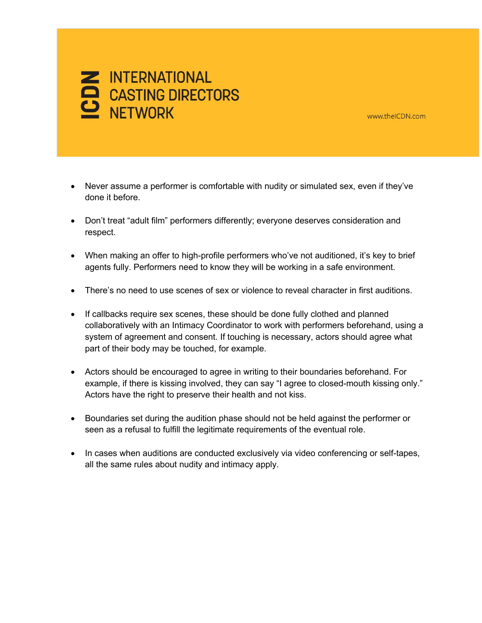## **Z INTERNATIONAL** CASTING DIRECTORS

www.theICDN.com

- Never assume a performer is comfortable with nudity or simulated sex, even if they've done it before.
- Don't treat "adult film" performers differently; everyone deserves consideration and respect.
- When making an offer to high-profile performers who've not auditioned, it's key to brief agents fully. Performers need to know they will be working in a safe environment.
- There's no need to use scenes of sex or violence to reveal character in first auditions.
- If callbacks require sex scenes, these should be done fully clothed and planned collaboratively with an Intimacy Coordinator to work with performers beforehand, using a system of agreement and consent. If touching is necessary, actors should agree what part of their body may be touched, for example.
- Actors should be encouraged to agree in writing to their boundaries beforehand. For example, if there is kissing involved, they can say "I agree to closed-mouth kissing only." Actors have the right to preserve their health and not kiss.
- Boundaries set during the audition phase should not be held against the performer or seen as a refusal to fulfill the legitimate requirements of the eventual role.
- In cases when auditions are conducted exclusively via video conferencing or self-tapes, all the same rules about nudity and intimacy apply.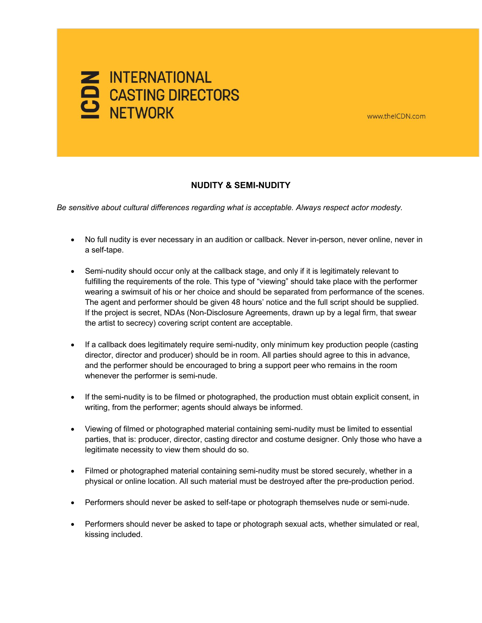

# MERNATIONAL

### **NUDITY & SEMI-NUDITY**

*Be sensitive about cultural differences regarding what is acceptable. Always respect actor modesty.* 

- No full nudity is ever necessary in an audition or callback. Never in-person, never online, never in a self-tape.
- Semi-nudity should occur only at the callback stage, and only if it is legitimately relevant to fulfilling the requirements of the role. This type of "viewing" should take place with the performer wearing a swimsuit of his or her choice and should be separated from performance of the scenes. The agent and performer should be given 48 hours' notice and the full script should be supplied. If the project is secret, NDAs (Non-Disclosure Agreements, drawn up by a legal firm, that swear the artist to secrecy) covering script content are acceptable.
- If a callback does legitimately require semi-nudity, only minimum key production people (casting director, director and producer) should be in room. All parties should agree to this in advance, and the performer should be encouraged to bring a support peer who remains in the room whenever the performer is semi-nude.
- If the semi-nudity is to be filmed or photographed, the production must obtain explicit consent, in writing, from the performer; agents should always be informed.
- Viewing of filmed or photographed material containing semi-nudity must be limited to essential parties, that is: producer, director, casting director and costume designer. Only those who have a legitimate necessity to view them should do so.
- Filmed or photographed material containing semi-nudity must be stored securely, whether in a physical or online location. All such material must be destroyed after the pre-production period.
- Performers should never be asked to self-tape or photograph themselves nude or semi-nude.
- Performers should never be asked to tape or photograph sexual acts, whether simulated or real, kissing included.